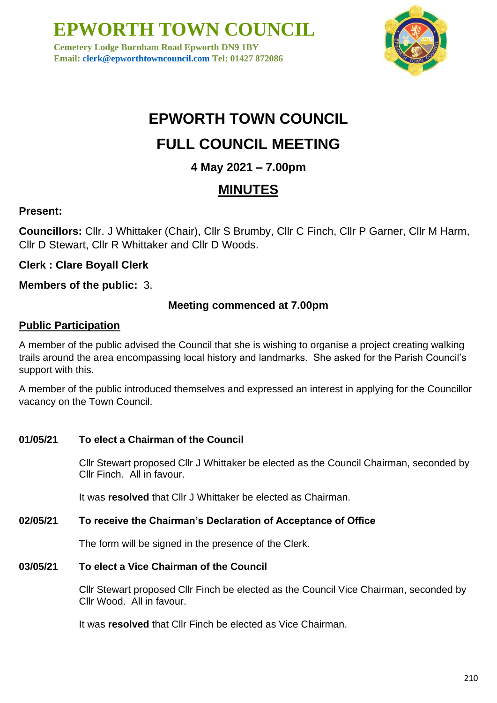**Cemetery Lodge Burnham Road Epworth DN9 1BY Email: [clerk@epworthtowncouncil.com](mailto:clerk@epworthtowncouncil.com) Tel: 01427 872086**



# **EPWORTH TOWN COUNCIL**

### **FULL COUNCIL MEETING**

### **4 May 2021 – 7.00pm**

### **MINUTES**

### **Present:**

**Councillors:** Cllr. J Whittaker (Chair), Cllr S Brumby, Cllr C Finch, Cllr P Garner, Cllr M Harm, Cllr D Stewart, Cllr R Whittaker and Cllr D Woods.

**Clerk : Clare Boyall Clerk**

**Members of the public:** 3.

### **Meeting commenced at 7.00pm**

### **Public Participation**

A member of the public advised the Council that she is wishing to organise a project creating walking trails around the area encompassing local history and landmarks. She asked for the Parish Council's support with this.

A member of the public introduced themselves and expressed an interest in applying for the Councillor vacancy on the Town Council.

**01/05/21 To elect a Chairman of the Council**

Cllr Stewart proposed Cllr J Whittaker be elected as the Council Chairman, seconded by Cllr Finch. All in favour.

It was **resolved** that Cllr J Whittaker be elected as Chairman.

### **02/05/21 To receive the Chairman's Declaration of Acceptance of Office**

The form will be signed in the presence of the Clerk.

**03/05/21 To elect a Vice Chairman of the Council**

Cllr Stewart proposed Cllr Finch be elected as the Council Vice Chairman, seconded by Cllr Wood. All in favour.

It was **resolved** that Cllr Finch be elected as Vice Chairman.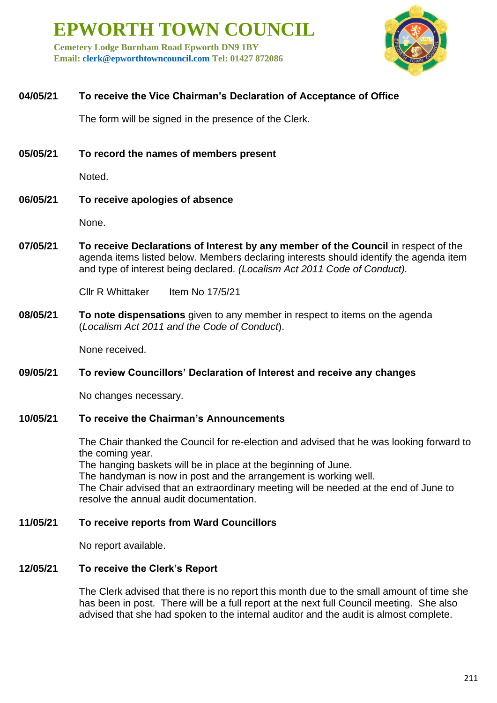**Cemetery Lodge Burnham Road Epworth DN9 1BY Email: [clerk@epworthtowncouncil.com](mailto:clerk@epworthtowncouncil.com) Tel: 01427 872086**



### **04/05/21 To receive the Vice Chairman's Declaration of Acceptance of Office**

The form will be signed in the presence of the Clerk.

**05/05/21 To record the names of members present**

Noted.

**06/05/21 To receive apologies of absence**

None.

**07/05/21 To receive Declarations of Interest by any member of the Council** in respect of the agenda items listed below. Members declaring interests should identify the agenda item and type of interest being declared. *(Localism Act 2011 Code of Conduct).*

Cllr R Whittaker Item No 17/5/21

**08/05/21 To note dispensations** given to any member in respect to items on the agenda (*Localism Act 2011 and the Code of Conduct*).

None received.

### **09/05/21 To review Councillors' Declaration of Interest and receive any changes**

No changes necessary.

### **10/05/21 To receive the Chairman's Announcements**

The Chair thanked the Council for re-election and advised that he was looking forward to the coming year.

The hanging baskets will be in place at the beginning of June.

The handyman is now in post and the arrangement is working well.

The Chair advised that an extraordinary meeting will be needed at the end of June to resolve the annual audit documentation.

### **11/05/21 To receive reports from Ward Councillors**

No report available.

### **12/05/21 To receive the Clerk's Report**

The Clerk advised that there is no report this month due to the small amount of time she has been in post. There will be a full report at the next full Council meeting. She also advised that she had spoken to the internal auditor and the audit is almost complete.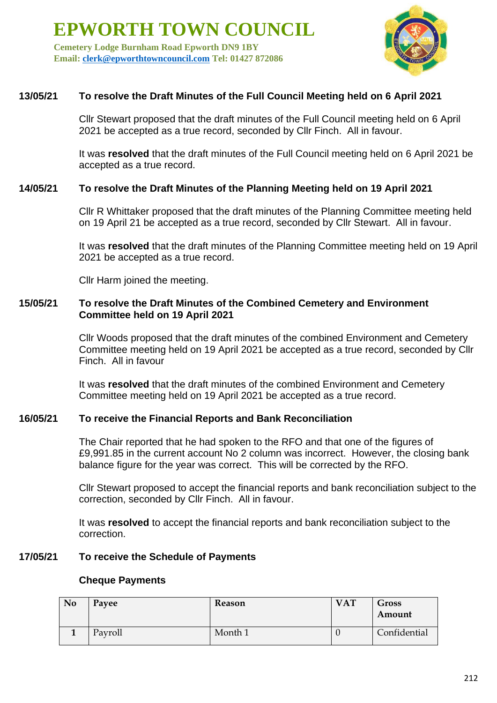**Cemetery Lodge Burnham Road Epworth DN9 1BY Email: [clerk@epworthtowncouncil.com](mailto:clerk@epworthtowncouncil.com) Tel: 01427 872086**



### **13/05/21 To resolve the Draft Minutes of the Full Council Meeting held on 6 April 2021**

Cllr Stewart proposed that the draft minutes of the Full Council meeting held on 6 April 2021 be accepted as a true record, seconded by Cllr Finch. All in favour.

It was **resolved** that the draft minutes of the Full Council meeting held on 6 April 2021 be accepted as a true record.

### **14/05/21 To resolve the Draft Minutes of the Planning Meeting held on 19 April 2021**

Cllr R Whittaker proposed that the draft minutes of the Planning Committee meeting held on 19 April 21 be accepted as a true record, seconded by Cllr Stewart. All in favour.

It was **resolved** that the draft minutes of the Planning Committee meeting held on 19 April 2021 be accepted as a true record.

Cllr Harm joined the meeting.

### **15/05/21 To resolve the Draft Minutes of the Combined Cemetery and Environment Committee held on 19 April 2021**

Cllr Woods proposed that the draft minutes of the combined Environment and Cemetery Committee meeting held on 19 April 2021 be accepted as a true record, seconded by Cllr Finch. All in favour

It was **resolved** that the draft minutes of the combined Environment and Cemetery Committee meeting held on 19 April 2021 be accepted as a true record.

### **16/05/21 To receive the Financial Reports and Bank Reconciliation**

The Chair reported that he had spoken to the RFO and that one of the figures of £9,991.85 in the current account No 2 column was incorrect. However, the closing bank balance figure for the year was correct. This will be corrected by the RFO.

Cllr Stewart proposed to accept the financial reports and bank reconciliation subject to the correction, seconded by Cllr Finch. All in favour.

It was **resolved** to accept the financial reports and bank reconciliation subject to the correction.

### **17/05/21 To receive the Schedule of Payments**

#### **Cheque Payments**

| N <sub>0</sub> | Payee   | Reason  | <b>VAT</b> | <b>Gross</b><br>Amount |
|----------------|---------|---------|------------|------------------------|
|                | Payroll | Month 1 |            | Confidential           |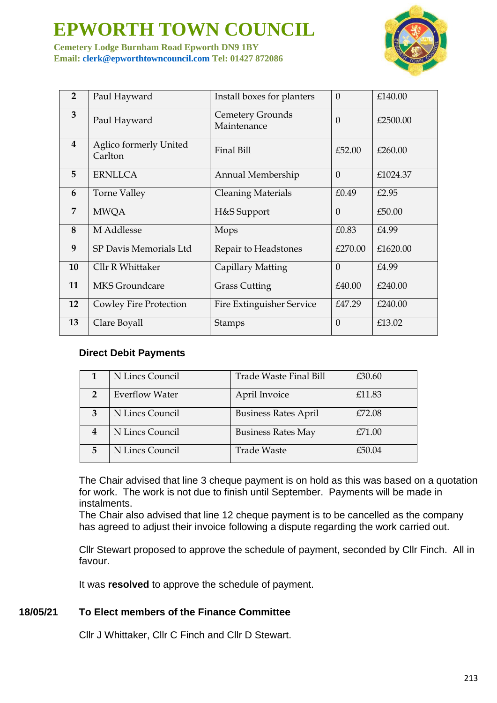**Cemetery Lodge Burnham Road Epworth DN9 1BY Email: [clerk@epworthtowncouncil.com](mailto:clerk@epworthtowncouncil.com) Tel: 01427 872086**



| $\overline{2}$          | Paul Hayward                             | $\theta$<br>Install boxes for planters |          | £140.00  |
|-------------------------|------------------------------------------|----------------------------------------|----------|----------|
| 3                       | Paul Hayward                             | Cemetery Grounds<br>Maintenance        | $\Omega$ | £2500.00 |
| $\overline{\mathbf{4}}$ | <b>Aglico formerly United</b><br>Carlton | Final Bill                             | £52.00   | £260.00  |
| 5                       | <b>ERNLLCA</b>                           | Annual Membership                      | $\theta$ | £1024.37 |
| 6                       | Torne Valley                             | <b>Cleaning Materials</b>              | £0.49    | £2.95    |
| $\overline{7}$          | <b>MWQA</b>                              | H&S Support                            | $\Omega$ | £50.00   |
| 8                       | M Addlesse                               | Mops                                   | £0.83    | £4.99    |
| 9                       | SP Davis Memorials Ltd                   | Repair to Headstones                   | £270.00  | £1620.00 |
| 10                      | Cllr R Whittaker                         | Capillary Matting                      | $\Omega$ | £4.99    |
| 11                      | <b>MKS</b> Groundcare                    | <b>Grass Cutting</b>                   | £40.00   | £240.00  |
| 12                      | Cowley Fire Protection                   | Fire Extinguisher Service              | £47.29   | £240.00  |
| 13                      | Clare Boyall                             | Stamps                                 | $\Omega$ | £13.02   |

### **Direct Debit Payments**

|                | N Lincs Council       | Trade Waste Final Bill      | £30.60 |
|----------------|-----------------------|-----------------------------|--------|
| $\overline{2}$ | <b>Everflow Water</b> | April Invoice               | £11.83 |
| 3              | N Lincs Council       | <b>Business Rates April</b> | £72.08 |
| 4              | N Lincs Council       | <b>Business Rates May</b>   | £71.00 |
| 5              | N Lincs Council       | <b>Trade Waste</b>          | £50.04 |

The Chair advised that line 3 cheque payment is on hold as this was based on a quotation for work. The work is not due to finish until September. Payments will be made in instalments.

The Chair also advised that line 12 cheque payment is to be cancelled as the company has agreed to adjust their invoice following a dispute regarding the work carried out.

Cllr Stewart proposed to approve the schedule of payment, seconded by Cllr Finch. All in favour.

It was **resolved** to approve the schedule of payment.

### **18/05/21 To Elect members of the Finance Committee**

Cllr J Whittaker, Cllr C Finch and Cllr D Stewart.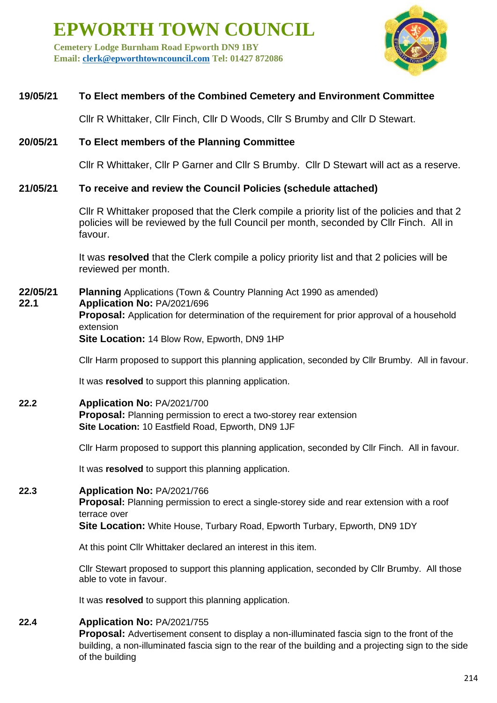**Cemetery Lodge Burnham Road Epworth DN9 1BY Email: [clerk@epworthtowncouncil.com](mailto:clerk@epworthtowncouncil.com) Tel: 01427 872086**



### **19/05/21 To Elect members of the Combined Cemetery and Environment Committee**

Cllr R Whittaker, Cllr Finch, Cllr D Woods, Cllr S Brumby and Cllr D Stewart.

### **20/05/21 To Elect members of the Planning Committee**

Cllr R Whittaker, Cllr P Garner and Cllr S Brumby. Cllr D Stewart will act as a reserve.

### **21/05/21 To receive and review the Council Policies (schedule attached)**

Cllr R Whittaker proposed that the Clerk compile a priority list of the policies and that 2 policies will be reviewed by the full Council per month, seconded by Cllr Finch. All in favour.

It was **resolved** that the Clerk compile a policy priority list and that 2 policies will be reviewed per month.

**22/05/21 Planning** Applications (Town & Country Planning Act 1990 as amended) **22.1 Application No:** PA/2021/696 **Proposal:** Application for determination of the requirement for prior approval of a household extension **Site Location:** 14 Blow Row, Epworth, DN9 1HP

Cllr Harm proposed to support this planning application, seconded by Cllr Brumby. All in favour.

It was **resolved** to support this planning application.

### **22.2 Application No:** PA/2021/700

**Proposal:** Planning permission to erect a two-storey rear extension **Site Location:** 10 Eastfield Road, Epworth, DN9 1JF

Cllr Harm proposed to support this planning application, seconded by Cllr Finch. All in favour.

It was **resolved** to support this planning application.

### **22.3 Application No:** PA/2021/766

**Proposal:** Planning permission to erect a single-storey side and rear extension with a roof terrace over

**Site Location:** White House, Turbary Road, Epworth Turbary, Epworth, DN9 1DY

At this point Cllr Whittaker declared an interest in this item.

Cllr Stewart proposed to support this planning application, seconded by Cllr Brumby. All those able to vote in favour.

It was **resolved** to support this planning application.

### **22.4 Application No:** PA/2021/755

**Proposal:** Advertisement consent to display a non-illuminated fascia sign to the front of the building, a non-illuminated fascia sign to the rear of the building and a projecting sign to the side of the building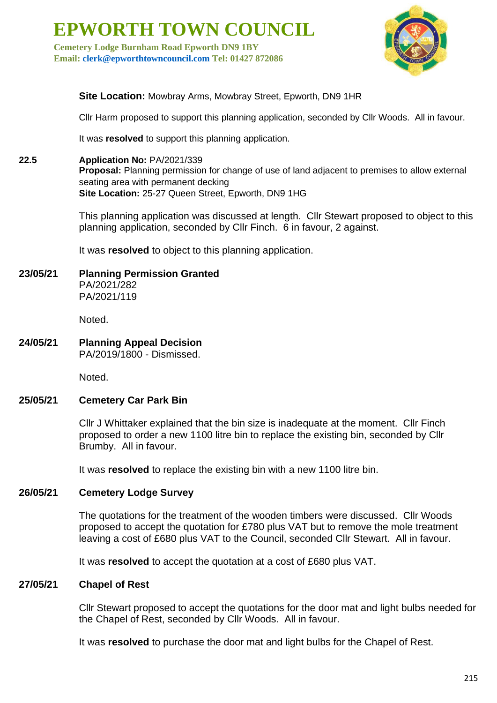**Cemetery Lodge Burnham Road Epworth DN9 1BY Email: [clerk@epworthtowncouncil.com](mailto:clerk@epworthtowncouncil.com) Tel: 01427 872086**



**Site Location:** Mowbray Arms, Mowbray Street, Epworth, DN9 1HR

Cllr Harm proposed to support this planning application, seconded by Cllr Woods. All in favour.

It was **resolved** to support this planning application.

### **22.5 Application No:** PA/2021/339

**Proposal:** Planning permission for change of use of land adjacent to premises to allow external seating area with permanent decking **Site Location:** 25-27 Queen Street, Epworth, DN9 1HG

This planning application was discussed at length. Cllr Stewart proposed to object to this planning application, seconded by Cllr Finch. 6 in favour, 2 against.

It was **resolved** to object to this planning application.

### **23/05/21 Planning Permission Granted**

PA/2021/282 PA/2021/119

Noted.

#### **24/05/21 Planning Appeal Decision** PA/2019/1800 - Dismissed.

Noted.

### **25/05/21 Cemetery Car Park Bin**

Cllr J Whittaker explained that the bin size is inadequate at the moment. Cllr Finch proposed to order a new 1100 litre bin to replace the existing bin, seconded by Cllr Brumby. All in favour.

It was **resolved** to replace the existing bin with a new 1100 litre bin.

### **26/05/21 Cemetery Lodge Survey**

The quotations for the treatment of the wooden timbers were discussed. Cllr Woods proposed to accept the quotation for £780 plus VAT but to remove the mole treatment leaving a cost of £680 plus VAT to the Council, seconded Cllr Stewart. All in favour.

It was **resolved** to accept the quotation at a cost of £680 plus VAT.

### **27/05/21 Chapel of Rest**

Cllr Stewart proposed to accept the quotations for the door mat and light bulbs needed for the Chapel of Rest, seconded by Cllr Woods. All in favour.

It was **resolved** to purchase the door mat and light bulbs for the Chapel of Rest.